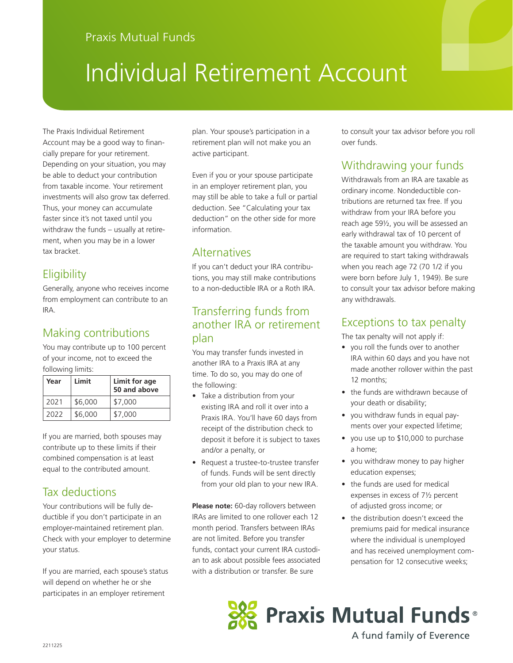# Individual Retirement Account

The Praxis Individual Retirement Account may be a good way to financially prepare for your retirement. Depending on your situation, you may be able to deduct your contribution from taxable income. Your retirement investments will also grow tax deferred. Thus, your money can accumulate faster since it's not taxed until you withdraw the funds – usually at retirement, when you may be in a lower tax bracket.

## **Eligibility**

Generally, anyone who receives income from employment can contribute to an IRA.

## Making contributions

You may contribute up to 100 percent of your income, not to exceed the following limits:

| Year | Limit   | Limit for age<br>50 and above |  |  |
|------|---------|-------------------------------|--|--|
| 2021 | \$6,000 | \$7,000                       |  |  |
| 2022 | \$6,000 | \$7,000                       |  |  |

If you are married, both spouses may contribute up to these limits if their combined compensation is at least equal to the contributed amount.

## Tax deductions

Your contributions will be fully deductible if you don't participate in an employer-maintained retirement plan. Check with your employer to determine your status.

If you are married, each spouse's status will depend on whether he or she participates in an employer retirement

plan. Your spouse's participation in a retirement plan will not make you an active participant.

Even if you or your spouse participate in an employer retirement plan, you may still be able to take a full or partial deduction. See "Calculating your tax deduction" on the other side for more information.

## **Alternatives**

If you can't deduct your IRA contributions, you may still make contributions to a non-deductible IRA or a Roth IRA.

### Transferring funds from another IRA or retirement plan

You may transfer funds invested in another IRA to a Praxis IRA at any time. To do so, you may do one of the following:

- Take a distribution from your existing IRA and roll it over into a Praxis IRA. You'll have 60 days from receipt of the distribution check to deposit it before it is subject to taxes and/or a penalty, or
- Request a trustee-to-trustee transfer of funds. Funds will be sent directly from your old plan to your new IRA.

**Please note:** 60-day rollovers between IRAs are limited to one rollover each 12 month period. Transfers between IRAs are not limited. Before you transfer funds, contact your current IRA custodian to ask about possible fees associated with a distribution or transfer. Be sure

to consult your tax advisor before you roll over funds.

## Withdrawing your funds

Withdrawals from an IRA are taxable as ordinary income. Nondeductible contributions are returned tax free. If you withdraw from your IRA before you reach age 59½, you will be assessed an early withdrawal tax of 10 percent of the taxable amount you withdraw. You are required to start taking withdrawals when you reach age 72 (70 1/2 if you were born before July 1, 1949). Be sure to consult your tax advisor before making any withdrawals.

### Exceptions to tax penalty

The tax penalty will not apply if:

- you roll the funds over to another IRA within 60 days and you have not made another rollover within the past 12 months;
- the funds are withdrawn because of your death or disability;
- you withdraw funds in equal payments over your expected lifetime;
- you use up to \$10,000 to purchase a home;
- you withdraw money to pay higher education expenses;
- the funds are used for medical expenses in excess of 7½ percent of adjusted gross income; or
- the distribution doesn't exceed the premiums paid for medical insurance where the individual is unemployed and has received unemployment compensation for 12 consecutive weeks;



A fund family of Everence